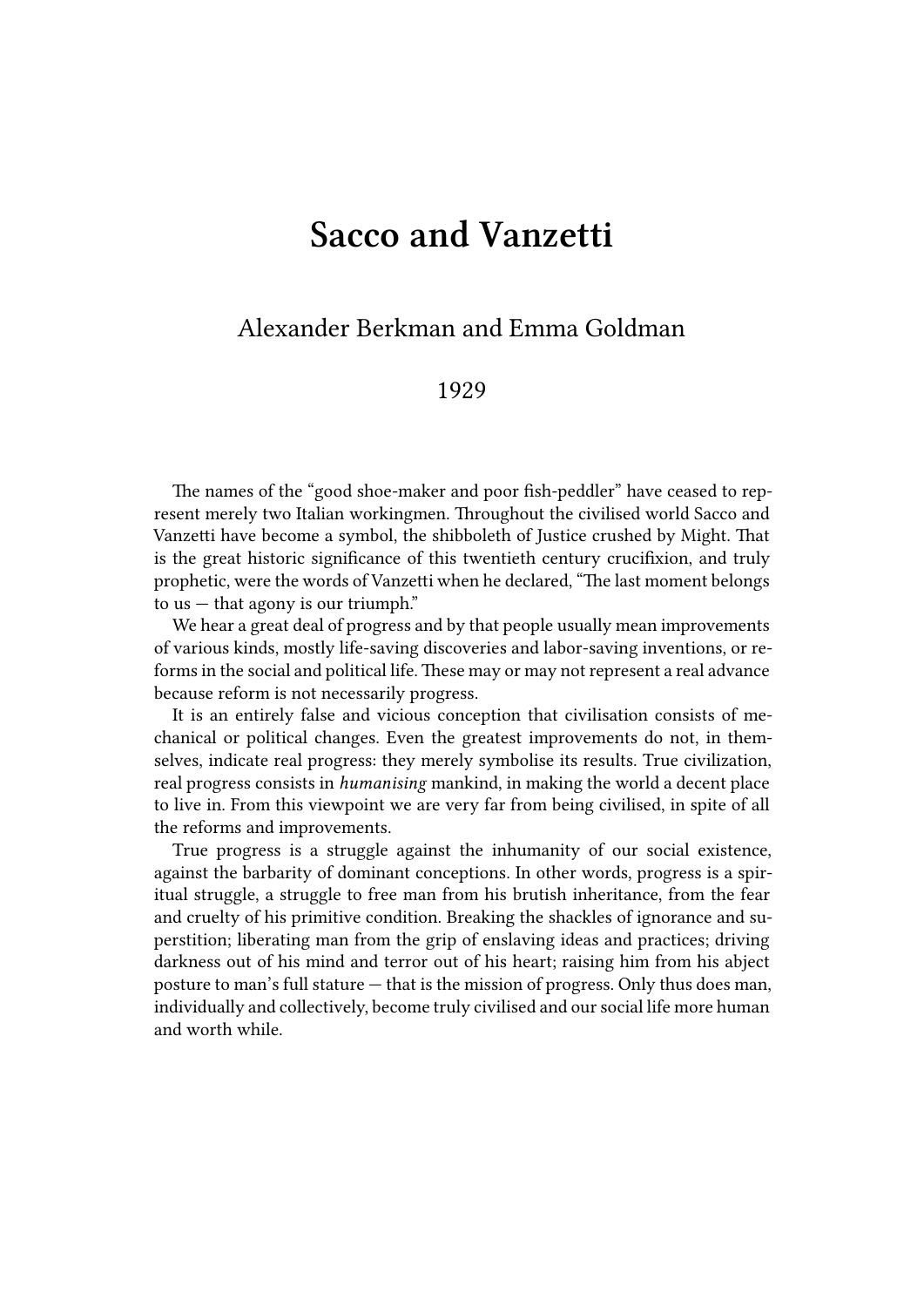## **Sacco and Vanzetti**

Alexander Berkman and Emma Goldman

## 1929

The names of the "good shoe-maker and poor fish-peddler" have ceased to represent merely two Italian workingmen. Throughout the civilised world Sacco and Vanzetti have become a symbol, the shibboleth of Justice crushed by Might. That is the great historic significance of this twentieth century crucifixion, and truly prophetic, were the words of Vanzetti when he declared, "The last moment belongs to  $us - that$  agony is our triumph."

We hear a great deal of progress and by that people usually mean improvements of various kinds, mostly life-saving discoveries and labor-saving inventions, or reforms in the social and political life. These may or may not represent a real advance because reform is not necessarily progress.

It is an entirely false and vicious conception that civilisation consists of mechanical or political changes. Even the greatest improvements do not, in themselves, indicate real progress: they merely symbolise its results. True civilization, real progress consists in *humanising* mankind, in making the world a decent place to live in. From this viewpoint we are very far from being civilised, in spite of all the reforms and improvements.

True progress is a struggle against the inhumanity of our social existence, against the barbarity of dominant conceptions. In other words, progress is a spiritual struggle, a struggle to free man from his brutish inheritance, from the fear and cruelty of his primitive condition. Breaking the shackles of ignorance and superstition; liberating man from the grip of enslaving ideas and practices; driving darkness out of his mind and terror out of his heart; raising him from his abject posture to man's full stature — that is the mission of progress. Only thus does man, individually and collectively, become truly civilised and our social life more human and worth while.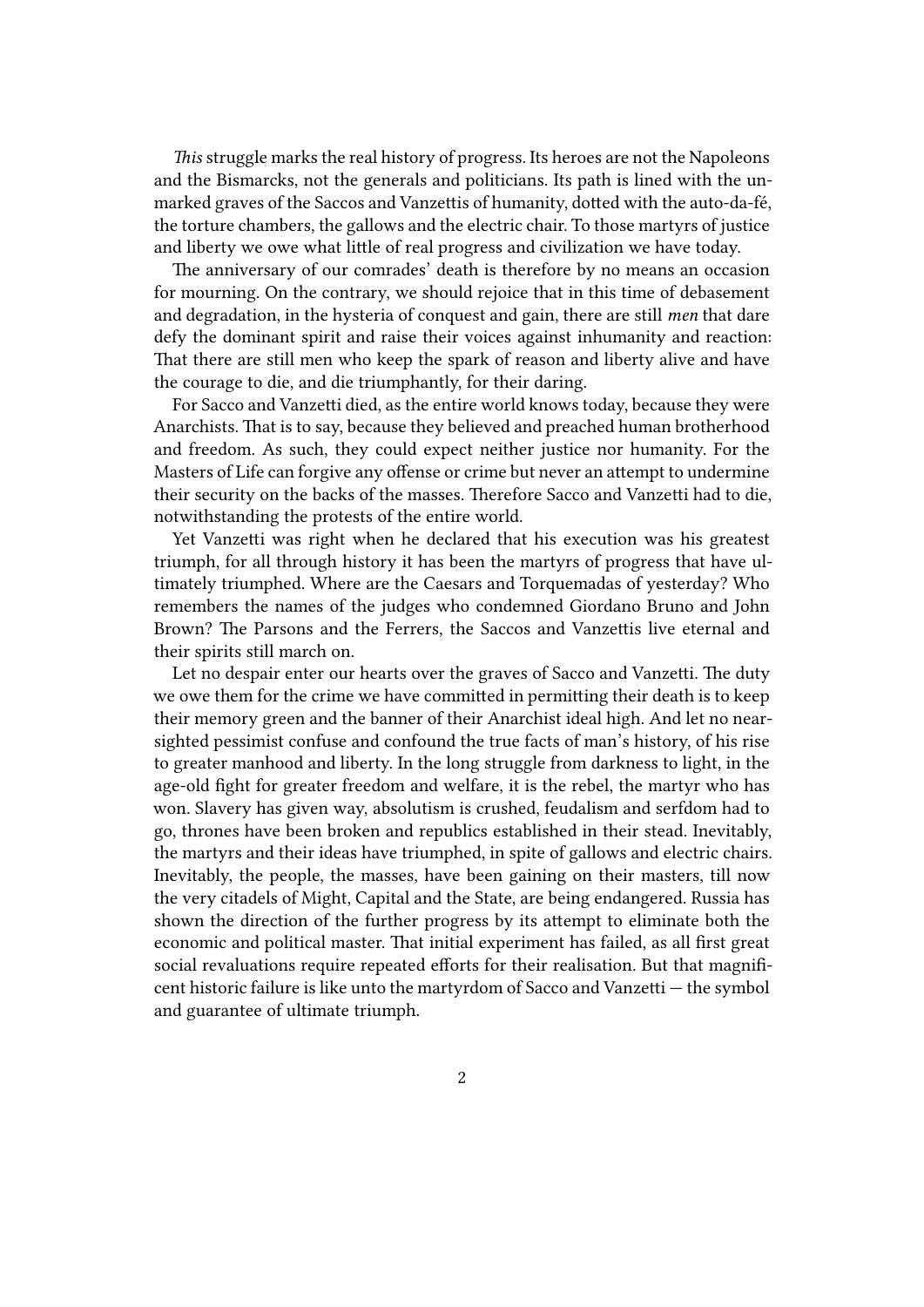*This* struggle marks the real history of progress. Its heroes are not the Napoleons and the Bismarcks, not the generals and politicians. Its path is lined with the unmarked graves of the Saccos and Vanzettis of humanity, dotted with the auto-da-fé, the torture chambers, the gallows and the electric chair. To those martyrs of justice and liberty we owe what little of real progress and civilization we have today.

The anniversary of our comrades' death is therefore by no means an occasion for mourning. On the contrary, we should rejoice that in this time of debasement and degradation, in the hysteria of conquest and gain, there are still *men* that dare defy the dominant spirit and raise their voices against inhumanity and reaction: That there are still men who keep the spark of reason and liberty alive and have the courage to die, and die triumphantly, for their daring.

For Sacco and Vanzetti died, as the entire world knows today, because they were Anarchists. That is to say, because they believed and preached human brotherhood and freedom. As such, they could expect neither justice nor humanity. For the Masters of Life can forgive any offense or crime but never an attempt to undermine their security on the backs of the masses. Therefore Sacco and Vanzetti had to die, notwithstanding the protests of the entire world.

Yet Vanzetti was right when he declared that his execution was his greatest triumph, for all through history it has been the martyrs of progress that have ultimately triumphed. Where are the Caesars and Torquemadas of yesterday? Who remembers the names of the judges who condemned Giordano Bruno and John Brown? The Parsons and the Ferrers, the Saccos and Vanzettis live eternal and their spirits still march on.

Let no despair enter our hearts over the graves of Sacco and Vanzetti. The duty we owe them for the crime we have committed in permitting their death is to keep their memory green and the banner of their Anarchist ideal high. And let no nearsighted pessimist confuse and confound the true facts of man's history, of his rise to greater manhood and liberty. In the long struggle from darkness to light, in the age-old fight for greater freedom and welfare, it is the rebel, the martyr who has won. Slavery has given way, absolutism is crushed, feudalism and serfdom had to go, thrones have been broken and republics established in their stead. Inevitably, the martyrs and their ideas have triumphed, in spite of gallows and electric chairs. Inevitably, the people, the masses, have been gaining on their masters, till now the very citadels of Might, Capital and the State, are being endangered. Russia has shown the direction of the further progress by its attempt to eliminate both the economic and political master. That initial experiment has failed, as all first great social revaluations require repeated efforts for their realisation. But that magnificent historic failure is like unto the martyrdom of Sacco and Vanzetti — the symbol and guarantee of ultimate triumph.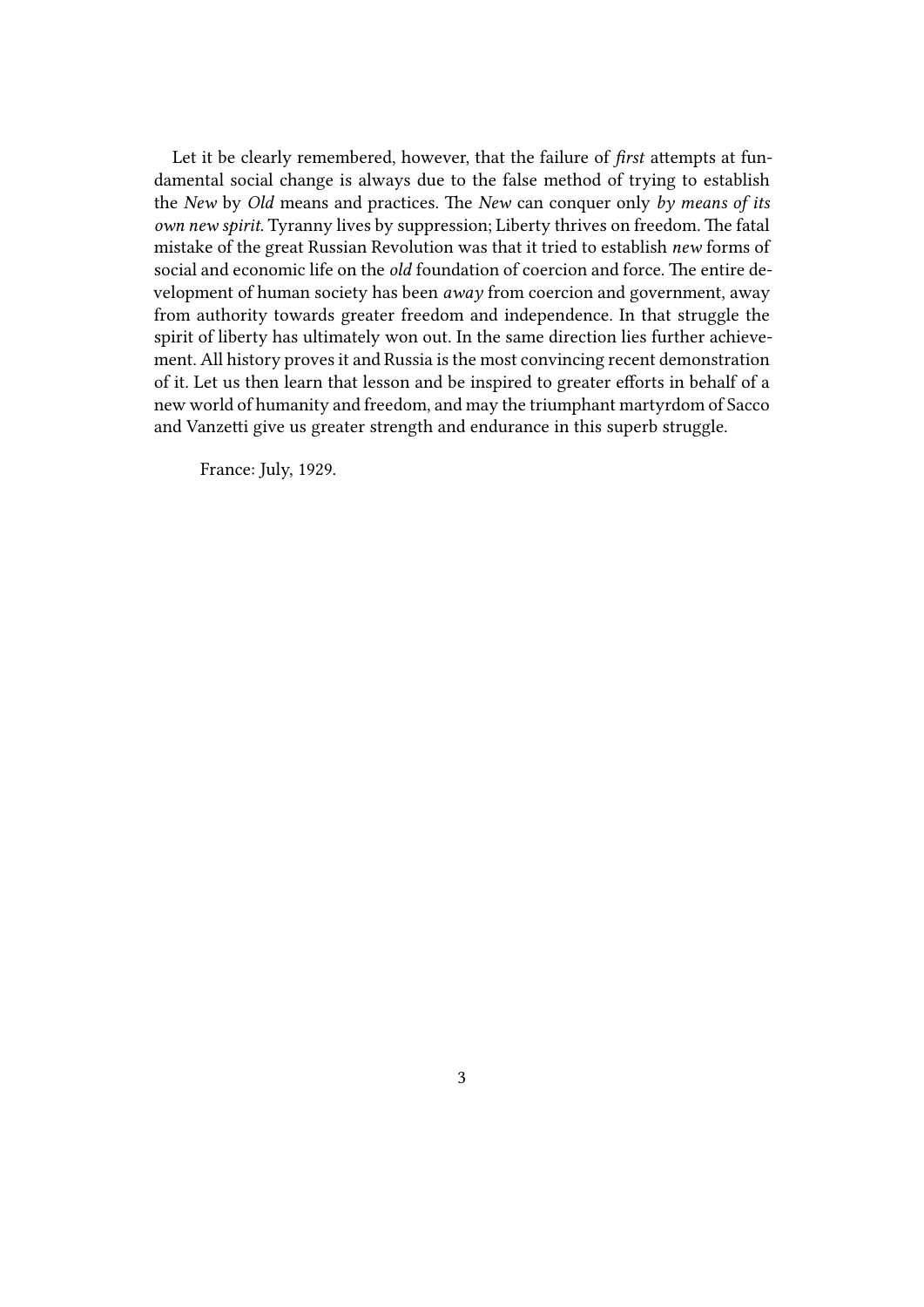Let it be clearly remembered, however, that the failure of *first* attempts at fundamental social change is always due to the false method of trying to establish the *New* by *Old* means and practices. The *New* can conquer only *by means of its own new spirit*. Tyranny lives by suppression; Liberty thrives on freedom. The fatal mistake of the great Russian Revolution was that it tried to establish *new* forms of social and economic life on the *old* foundation of coercion and force. The entire development of human society has been *away* from coercion and government, away from authority towards greater freedom and independence. In that struggle the spirit of liberty has ultimately won out. In the same direction lies further achievement. All history proves it and Russia is the most convincing recent demonstration of it. Let us then learn that lesson and be inspired to greater efforts in behalf of a new world of humanity and freedom, and may the triumphant martyrdom of Sacco and Vanzetti give us greater strength and endurance in this superb struggle.

France: July, 1929.